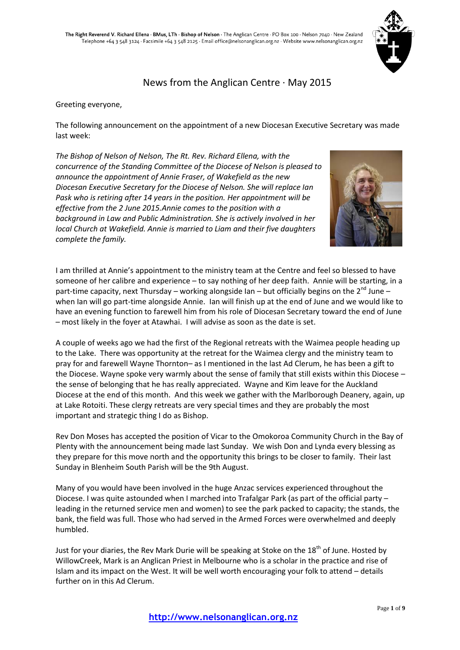

# News from the Anglican Centre · May 2015

#### Greeting everyone,

The following announcement on the appointment of a new Diocesan Executive Secretary was made last week:

*The Bishop of Nelson of Nelson, The Rt. Rev. Richard Ellena, with the concurrence of the Standing Committee of the Diocese of Nelson is pleased to announce the appointment of Annie Fraser, of Wakefield as the new Diocesan Executive Secretary for the Diocese of Nelson. She will replace Ian Pask who is retiring after 14 years in the position. Her appointment will be effective from the 2 June 2015.Annie comes to the position with a background in Law and Public Administration. She is actively involved in her local Church at Wakefield. Annie is married to Liam and their five daughters complete the family.* 



I am thrilled at Annie's appointment to the ministry team at the Centre and feel so blessed to have someone of her calibre and experience – to say nothing of her deep faith. Annie will be starting, in a part-time capacity, next Thursday – working alongside Ian – but officially begins on the  $2^{nd}$  June – when Ian will go part-time alongside Annie. Ian will finish up at the end of June and we would like to have an evening function to farewell him from his role of Diocesan Secretary toward the end of June – most likely in the foyer at Atawhai. I will advise as soon as the date is set.

A couple of weeks ago we had the first of the Regional retreats with the Waimea people heading up to the Lake. There was opportunity at the retreat for the Waimea clergy and the ministry team to pray for and farewell Wayne Thornton– as I mentioned in the last Ad Clerum, he has been a gift to the Diocese. Wayne spoke very warmly about the sense of family that still exists within this Diocese – the sense of belonging that he has really appreciated. Wayne and Kim leave for the Auckland Diocese at the end of this month. And this week we gather with the Marlborough Deanery, again, up at Lake Rotoiti. These clergy retreats are very special times and they are probably the most important and strategic thing I do as Bishop.

Rev Don Moses has accepted the position of Vicar to the Omokoroa Community Church in the Bay of Plenty with the announcement being made last Sunday. We wish Don and Lynda every blessing as they prepare for this move north and the opportunity this brings to be closer to family. Their last Sunday in Blenheim South Parish will be the 9th August.

Many of you would have been involved in the huge Anzac services experienced throughout the Diocese. I was quite astounded when I marched into Trafalgar Park (as part of the official party – leading in the returned service men and women) to see the park packed to capacity; the stands, the bank, the field was full. Those who had served in the Armed Forces were overwhelmed and deeply humbled.

Just for your diaries, the Rev Mark Durie will be speaking at Stoke on the 18<sup>th</sup> of June. Hosted by WillowCreek, Mark is an Anglican Priest in Melbourne who is a scholar in the practice and rise of Islam and its impact on the West. It will be well worth encouraging your folk to attend – details further on in this Ad Clerum.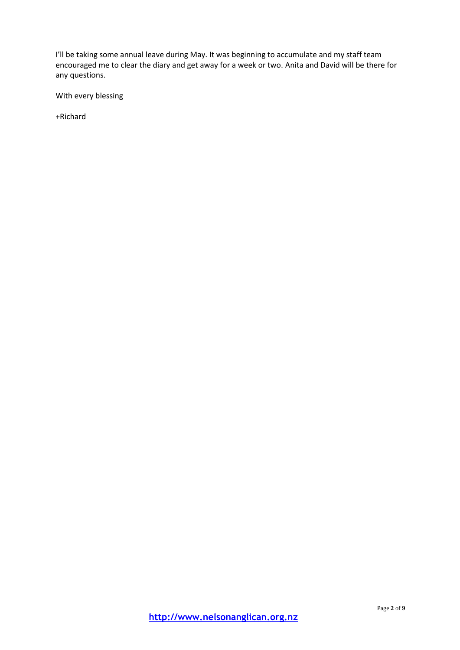I'll be taking some annual leave during May. It was beginning to accumulate and my staff team encouraged me to clear the diary and get away for a week or two. Anita and David will be there for any questions.

With every blessing

+Richard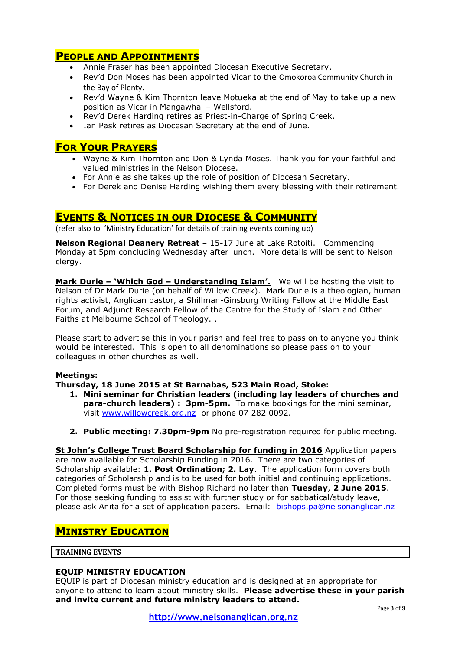# **PEOPLE AND APPOINTMENTS**

- Annie Fraser has been appointed Diocesan Executive Secretary.
- Rev'd Don Moses has been appointed Vicar to the Omokoroa Community Church in the Bay of Plenty.
- Rev'd Wayne & Kim Thornton leave Motueka at the end of May to take up a new position as Vicar in Mangawhai – Wellsford.
- Rev'd Derek Harding retires as Priest-in-Charge of Spring Creek.
- Ian Pask retires as Diocesan Secretary at the end of June.

## **FOR YOUR PRAYERS**

- Wayne & Kim Thornton and Don & Lynda Moses. Thank you for your faithful and valued ministries in the Nelson Diocese.
- For Annie as she takes up the role of position of Diocesan Secretary.
- For Derek and Denise Harding wishing them every blessing with their retirement.

## **EVENTS & NOTICES IN OUR DIOCESE & COMMUNITY**

(refer also to 'Ministry Education' for details of training events coming up)

**Nelson Regional Deanery Retreat** – 15-17 June at Lake Rotoiti. Commencing Monday at 5pm concluding Wednesday after lunch. More details will be sent to Nelson clergy.

**Mark Durie – 'Which God – Understanding Islam'.** We will be hosting the visit to Nelson of Dr Mark Durie (on behalf of Willow Creek). Mark Durie is a theologian, human rights activist, Anglican pastor, a Shillman-Ginsburg Writing Fellow at the Middle East Forum, and Adjunct Research Fellow of the Centre for the Study of Islam and Other Faiths at Melbourne School of Theology. .

Please start to advertise this in your parish and feel free to pass on to anyone you think would be interested. This is open to all denominations so please pass on to your colleagues in other churches as well.

#### **Meetings:**

**Thursday, 18 June 2015 at St Barnabas, 523 Main Road, Stoke:**

- **1. Mini seminar for Christian leaders (including lay leaders of churches and para-church leaders) : 3pm-5pm.** To make bookings for the mini seminar, visit [www.willowcreek.org.nz](http://www.willowcreek.org.nz/) or phone 07 282 0092.
- **2. Public meeting: 7.30pm-9pm** No pre-registration required for public meeting.

**St John's College Trust Board Scholarship for funding in 2016** Application papers are now available for Scholarship Funding in 2016. There are two categories of Scholarship available: **1. Post Ordination; 2. Lay**. The application form covers both categories of Scholarship and is to be used for both initial and continuing applications. Completed forms must be with Bishop Richard no later than **Tuesday**, **2 June 2015**. For those seeking funding to assist with further study or for sabbatical/study leave, please ask Anita for a set of application papers. Email: [bishops.pa@nelsonanglican.nz](mailto:bishops.pa@nelsonanglican.nz)

# **MINISTRY EDUCATION**

#### **TRAINING EVENTS**

#### **EQUIP MINISTRY EDUCATION**

EQUIP is part of Diocesan ministry education and is designed at an appropriate for anyone to attend to learn about ministry skills. **Please advertise these in your parish and invite current and future ministry leaders to attend.**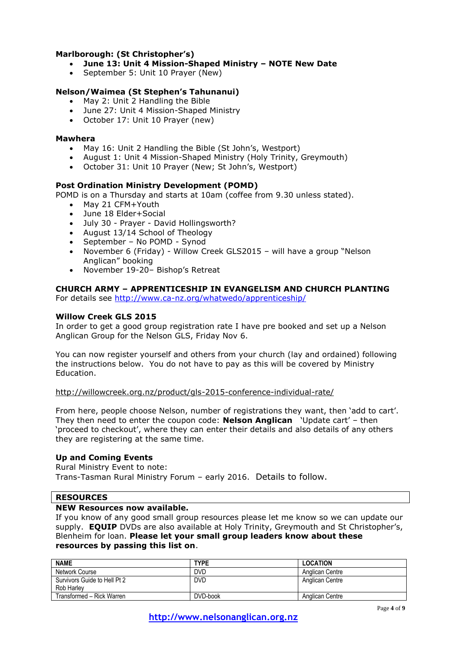### **Marlborough: (St Christopher's)**

- **June 13: Unit 4 Mission-Shaped Ministry – NOTE New Date**
- September 5: Unit 10 Prayer (New)

## **Nelson/Waimea (St Stephen's Tahunanui)**

- May 2: Unit 2 Handling the Bible
- June 27: Unit 4 Mission-Shaped Ministry
- October 17: Unit 10 Prayer (new)

#### **Mawhera**

- May 16: Unit 2 Handling the Bible (St John's, Westport)
- August 1: Unit 4 Mission-Shaped Ministry (Holy Trinity, Greymouth)
- October 31: Unit 10 Prayer (New; St John's, Westport)

### **Post Ordination Ministry Development (POMD)**

POMD is on a Thursday and starts at 10am (coffee from 9.30 unless stated).

- May 21 CFM+Youth
- June 18 Elder+Social
- July 30 Prayer David Hollingsworth?
- August 13/14 School of Theology
- September No POMD Synod
- November 6 (Friday) Willow Creek GLS2015 will have a group "Nelson Anglican" booking
- November 19-20– Bishop's Retreat

#### **CHURCH ARMY – APPRENTICESHIP IN EVANGELISM AND CHURCH PLANTING**

For details see<http://www.ca-nz.org/whatwedo/apprenticeship/>

#### **Willow Creek GLS 2015**

In order to get a good group registration rate I have pre booked and set up a Nelson Anglican Group for the Nelson GLS, Friday Nov 6.

You can now register yourself and others from your church (lay and ordained) following the instructions below. You do not have to pay as this will be covered by Ministry Education.

<http://willowcreek.org.nz/product/gls-2015-conference-individual-rate/>

From here, people choose Nelson, number of registrations they want, then 'add to cart'. They then need to enter the coupon code: **Nelson Anglican** 'Update cart' – then 'proceed to checkout', where they can enter their details and also details of any others they are registering at the same time.

#### **Up and Coming Events**

Rural Ministry Event to note: Trans-Tasman Rural Ministry Forum – early 2016. Details to follow.

#### **RESOURCES**

#### **NEW Resources now available.**

If you know of any good small group resources please let me know so we can update our supply. **EQUIP** DVDs are also available at Holy Trinity, Greymouth and St Christopher's, Blenheim for loan. **Please let your small group leaders know about these resources by passing this list on**.

| <b>NAME</b>                  | <b>TYPE</b> | <b>LOCATION</b>        |
|------------------------------|-------------|------------------------|
| Network Course               | <b>DVD</b>  | <b>Anglican Centre</b> |
| Survivors Guide to Hell Pt 2 | <b>DVD</b>  | Anglican Centre        |
| Rob Harley                   |             |                        |
| Transformed - Rick Warren    | DVD-book    | Anglican Centre        |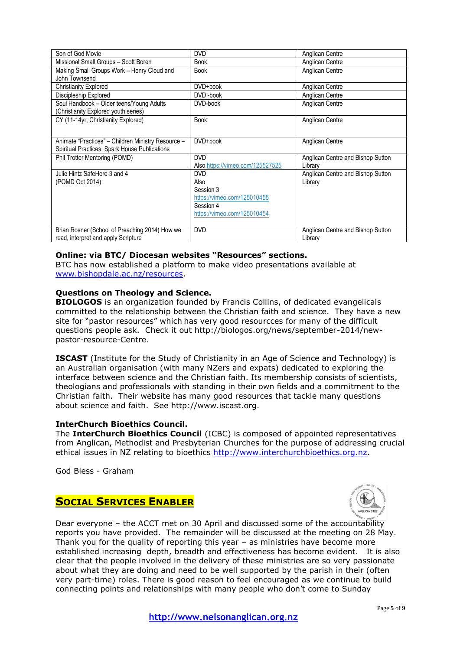| Son of God Movie                                   | <b>DVD</b>                       | Anglican Centre                   |
|----------------------------------------------------|----------------------------------|-----------------------------------|
| Missional Small Groups - Scott Boren               | <b>Book</b>                      | Anglican Centre                   |
| Making Small Groups Work - Henry Cloud and         | <b>Book</b>                      | Anglican Centre                   |
| John Townsend                                      |                                  |                                   |
| <b>Christianity Explored</b>                       | DVD+book                         | Anglican Centre                   |
| Discipleship Explored                              | DVD-book                         | Anglican Centre                   |
| Soul Handbook - Older teens/Young Adults           | DVD-book                         | Anglican Centre                   |
| (Christianity Explored youth series)               |                                  |                                   |
| CY (11-14yr; Christianity Explored)                | <b>Book</b>                      | Anglican Centre                   |
|                                                    |                                  |                                   |
| Animate "Practices" – Children Ministry Resource – | DVD+book                         | Anglican Centre                   |
| Spiritual Practices. Spark House Publications      |                                  |                                   |
|                                                    |                                  |                                   |
| Phil Trotter Mentoring (POMD)                      | <b>DVD</b>                       | Anglican Centre and Bishop Sutton |
|                                                    | Also https://vimeo.com/125527525 | Library                           |
| Julie Hintz SafeHere 3 and 4                       | <b>DVD</b>                       | Anglican Centre and Bishop Sutton |
| (POMD Oct 2014)                                    | Also                             | Library                           |
|                                                    | Session 3                        |                                   |
|                                                    | https://vimeo.com/125010455      |                                   |
|                                                    | Session 4                        |                                   |
|                                                    | https://vimeo.com/125010454      |                                   |
|                                                    |                                  |                                   |
| Brian Rosner (School of Preaching 2014) How we     | <b>DVD</b>                       | Anglican Centre and Bishop Sutton |
| read, interpret and apply Scripture                |                                  | Library                           |

### **Online: via BTC/ Diocesan websites "Resources" sections.**

BTC has now established a platform to make video presentations available at [www.bishopdale.ac.nz/resources.](http://www.bishopdale.ac.nz/resources)

### **Questions on Theology and Science.**

**BIOLOGOS** is an organization founded by Francis Collins, of dedicated evangelicals committed to the relationship between the Christian faith and science. They have a new site for "pastor resources" which has very good resourcces for many of the difficult questions people ask. Check it out http://biologos.org/news/september-2014/newpastor-resource-Centre.

**ISCAST** (Institute for the Study of Christianity in an Age of Science and Technology) is an Australian organisation (with many NZers and expats) dedicated to exploring the interface between science and the Christian faith. Its membership consists of scientists, theologians and professionals with standing in their own fields and a commitment to the Christian faith. Their website has many good resources that tackle many questions about science and faith. See http://www.iscast.org.

#### **InterChurch Bioethics Council.**

The **InterChurch Bioethics Council** (ICBC) is composed of appointed representatives from Anglican, Methodist and Presbyterian Churches for the purpose of addressing crucial ethical issues in NZ relating to bioethics [http://www.interchurchbioethics.org.nz.](http://www.interchurchbioethics.org.nz/)

God Bless - Graham

## **SOCIAL SERVICES ENABLER**



Dear everyone – the ACCT met on 30 April and discussed some of the accountability reports you have provided. The remainder will be discussed at the meeting on 28 May. Thank you for the quality of reporting this year – as ministries have become more established increasing depth, breadth and effectiveness has become evident. It is also clear that the people involved in the delivery of these ministries are so very passionate about what they are doing and need to be well supported by the parish in their (often very part-time) roles. There is good reason to feel encouraged as we continue to build connecting points and relationships with many people who don't come to Sunday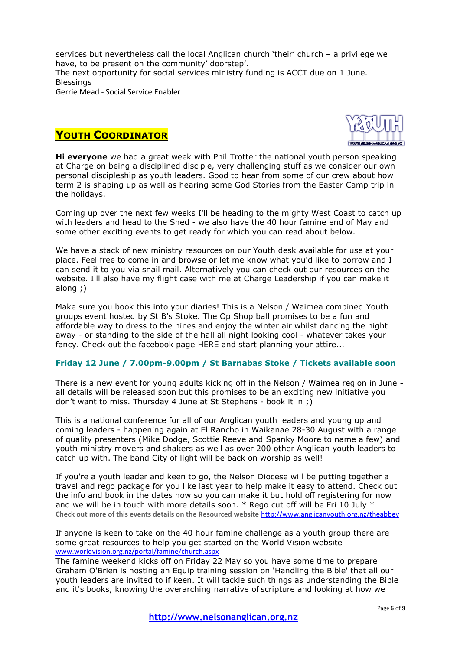services but nevertheless call the local Anglican church 'their' church – a privilege we have, to be present on the community' doorstep'. The next opportunity for social services ministry funding is ACCT due on 1 June. Blessings Gerrie Mead - Social Service Enabler

# **YOUTH COORDINATOR**



**Hi everyone** we had a great week with Phil Trotter the national youth person speaking at Charge on being a disciplined disciple, very challenging stuff as we consider our own personal discipleship as youth leaders. Good to hear from some of our crew about how term 2 is shaping up as well as hearing some God Stories from the Easter Camp trip in the holidays.

Coming up over the next few weeks I'll be heading to the mighty West Coast to catch up with leaders and head to the Shed - we also have the 40 hour famine end of May and some other exciting events to get ready for which you can read about below.

We have a stack of new ministry resources on our Youth desk available for use at your place. Feel free to come in and browse or let me know what you'd like to borrow and I can send it to you via snail mail. Alternatively you can check out our resources on the website. I'll also have my flight case with me at Charge Leadership if you can make it along ;)

Make sure you book this into your diaries! This is a Nelson / Waimea combined Youth groups event hosted by St B's Stoke. The Op Shop ball promises to be a fun and affordable way to dress to the nines and enjoy the winter air whilst dancing the night away - or standing to the side of the hall all night looking cool - whatever takes your fancy. Check out the facebook page [HERE](http://nelsonanglicanyouth.us9.list-manage.com/track/click?u=77d67e014607ec1799bfa00bd&id=536a8eb6cc&e=4bd71db7b0) and start planning your attire...

## **Friday 12 June / 7.00pm-9.00pm / St Barnabas Stoke / Tickets available soon**

There is a new event for young adults kicking off in the Nelson / Waimea region in June all details will be released soon but this promises to be an exciting new initiative you don't want to miss. Thursday 4 June at St Stephens - book it in ;)

This is a national conference for all of our Anglican youth leaders and young up and coming leaders - happening again at El Rancho in Waikanae 28-30 August with a range of quality presenters (Mike Dodge, Scottie Reeve and Spanky Moore to name a few) and youth ministry movers and shakers as well as over 200 other Anglican youth leaders to catch up with. The band City of light will be back on worship as well!

If you're a youth leader and keen to go, the Nelson Diocese will be putting together a travel and rego package for you like last year to help make it easy to attend. Check out the info and book in the dates now so you can make it but hold off registering for now and we will be in touch with more details soon.  $*$  Rego cut off will be Fri 10 July  $*$ **Check out more of this events details on the Resourced website** <http://www.anglicanyouth.org.nz/theabbey>

If anyone is keen to take on the 40 hour famine challenge as a youth group there are some great resources to help you get started on the World Vision website [www.worldvision.org.nz/portal/famine/church.aspx](http://www.worldvision.org.nz/portal/famine/church.aspx)

The famine weekend kicks off on Friday 22 May so you have some time to prepare Graham O'Brien is hosting an Equip training session on 'Handling the Bible' that all our youth leaders are invited to if keen. It will tackle such things as understanding the Bible and it's books, knowing the overarching narrative of scripture and looking at how we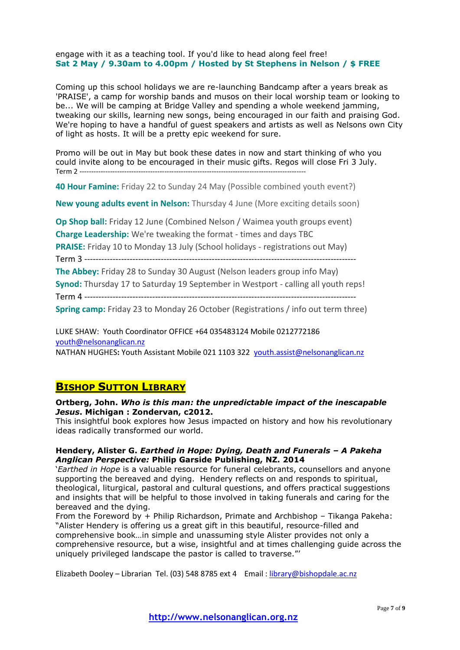#### engage with it as a teaching tool. If you'd like to head along feel free! **Sat 2 May / 9.30am to 4.00pm / Hosted by St Stephens in Nelson / \$ FREE**

Coming up this school holidays we are re-launching Bandcamp after a years break as 'PRAISE', a camp for worship bands and musos on their local worship team or looking to be... We will be camping at Bridge Valley and spending a whole weekend jamming, tweaking our skills, learning new songs, being encouraged in our faith and praising God. We're hoping to have a handful of guest speakers and artists as well as Nelsons own City of light as hosts. It will be a pretty epic weekend for sure.

Promo will be out in May but book these dates in now and start thinking of who you could invite along to be encouraged in their music gifts. Regos will close Fri 3 July. Term 2 ------------------------------------------------------------------------------------------------

**40 Hour Famine:** Friday 22 to Sunday 24 May (Possible combined youth event?)

**New young adults event in Nelson:** Thursday 4 June (More exciting details soon)

**Op Shop ball:** Friday 12 June (Combined Nelson / Waimea youth groups event) **Charge Leadership:** We're tweaking the format - times and days TBC

**PRAISE:** Friday 10 to Monday 13 July (School holidays - registrations out May)

Term 3 ------------------------------------------------------------------------------------------------

**The Abbey:** Friday 28 to Sunday 30 August (Nelson leaders group info May)

**Synod:** Thursday 17 to Saturday 19 September in Westport - calling all youth reps! Term 4 ------------------------------------------------------------------------------------------------

**Spring camp:** Friday 23 to Monday 26 October (Registrations / info out term three)

LUKE SHAW: Youth Coordinator OFFICE +64 035483124 Mobile 0212772186 [youth@nelsonanglican.nz](mailto:youth@nelsonanglican.nz)

NATHAN HUGHES**:** Youth Assistant Mobile 021 1103 322 [youth.assist@nelsonanglican.nz](mailto:youth.assist@nelsonanglican.nz)

# **BISHOP SUTTON LIBRARY**

#### **Ortberg, John.** *Who is this man: the unpredictable impact of the inescapable Jesus***. Michigan : Zondervan, c2012.**

This insightful book explores how Jesus impacted on history and how his revolutionary ideas radically transformed our world.

#### **Hendery, Alister G.** *Earthed in Hope: Dying, Death and Funerals – A Pakeha Anglican Perspective:* **Philip Garside Publishing, NZ. 2014**

'*Earthed in Hope* is a valuable resource for funeral celebrants, counsellors and anyone supporting the bereaved and dying. Hendery reflects on and responds to spiritual, theological, liturgical, pastoral and cultural questions, and offers practical suggestions and insights that will be helpful to those involved in taking funerals and caring for the bereaved and the dying.

From the Foreword by + Philip Richardson, Primate and Archbishop – Tikanga Pakeha: "Alister Hendery is offering us a great gift in this beautiful, resource-filled and comprehensive book…in simple and unassuming style Alister provides not only a comprehensive resource, but a wise, insightful and at times challenging guide across the uniquely privileged landscape the pastor is called to traverse."'

Elizabeth Dooley – Librarian Tel. (03) 548 8785 ext 4 Email : [library@bishopdale.ac.nz](mailto:library@bishopdale.ac.nz)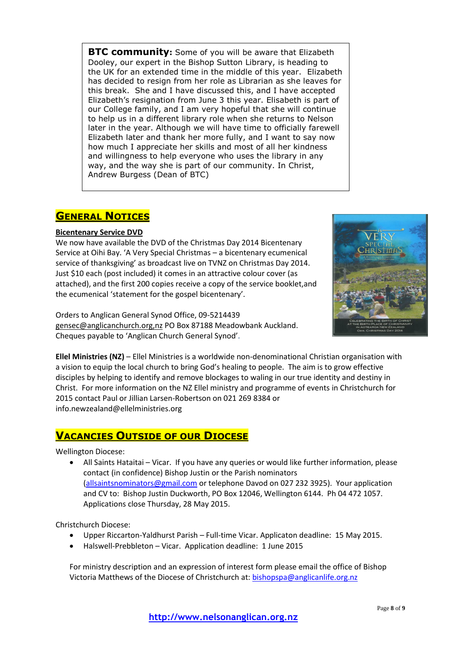**BTC community:** Some of you will be aware that Elizabeth Dooley, our expert in the Bishop Sutton Library, is heading to the UK for an extended time in the middle of this year. Elizabeth has decided to resign from her role as Librarian as she leaves for this break. She and I have discussed this, and I have accepted Elizabeth's resignation from June 3 this year. Elisabeth is part of our College family, and I am very hopeful that she will continue to help us in a different library role when she returns to Nelson later in the year. Although we will have time to officially farewell Elizabeth later and thank her more fully, and I want to say now how much I appreciate her skills and most of all her kindness and willingness to help everyone who uses the library in any way, and the way she is part of our community. In Christ, Andrew Burgess (Dean of BTC)

# **GENERAL NOTICES**

### **Bicentenary Service DVD**

We now have available the DVD of the Christmas Day 2014 Bicentenary Service at Oihi Bay. 'A Very Special Christmas – a bicentenary ecumenical service of thanksgiving' as broadcast live on TVNZ on Christmas Day 2014. Just \$10 each (post included) it comes in an attractive colour cover (as attached), and the first 200 copies receive a copy of the service booklet,and the ecumenical 'statement for the gospel bicentenary'.



Orders to Anglican General Synod Office, 09-5214439 [gensec@anglicanchurch.org,nz](mailto:gensec@anglicanchurch.org,nz) PO Box 87188 Meadowbank Auckland. Cheques payable to 'Anglican Church General Synod'.

**Ellel Ministries (NZ)** – Ellel Ministries is a worldwide non-denominational Christian organisation with a vision to equip the local church to bring God's healing to people. The aim is to grow effective disciples by helping to identify and remove blockages to waling in our true identity and destiny in Christ. For more information on the NZ Ellel ministry and programme of events in Christchurch for 2015 contact Paul or Jillian Larsen-Robertson on 021 269 8384 or info.newzealand@ellelministries.org

# **VACANCIES OUTSIDE OF OUR DIOCESE**

Wellington Diocese:

 All Saints Hataitai – Vicar. If you have any queries or would like further information, please contact (in confidence) Bishop Justin or the Parish nominators [\(allsaintsnominators@gmail.com](mailto:allsaintsnominators@gmail.com) or telephone Davod on 027 232 3925). Your application and CV to: Bishop Justin Duckworth, PO Box 12046, Wellington 6144. Ph 04 472 1057. Applications close Thursday, 28 May 2015.

Christchurch Diocese:

- Upper Riccarton-Yaldhurst Parish Full-time Vicar. Applicaton deadline: 15 May 2015.
- Halswell-Prebbleton Vicar. Application deadline: 1 June 2015

For ministry description and an expression of interest form please email the office of Bishop Victoria Matthews of the Diocese of Christchurch at[: bishopspa@anglicanlife.org.nz](mailto:bishopspa@anglicanlife.org.nz)